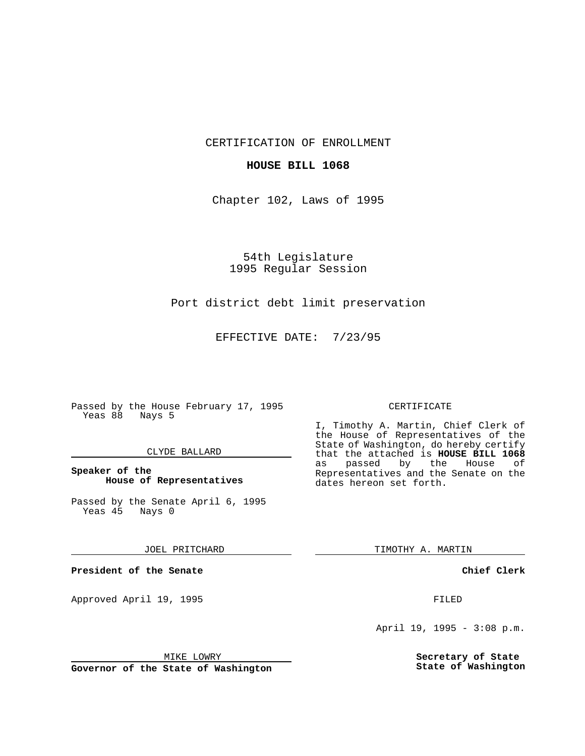CERTIFICATION OF ENROLLMENT

### **HOUSE BILL 1068**

Chapter 102, Laws of 1995

54th Legislature 1995 Regular Session

# Port district debt limit preservation

EFFECTIVE DATE: 7/23/95

Passed by the House February 17, 1995 Yeas 88 Nays 5

### CLYDE BALLARD

# **Speaker of the House of Representatives**

Passed by the Senate April 6, 1995<br>Yeas 45 Nays 0 Yeas 45

#### JOEL PRITCHARD

**President of the Senate**

Approved April 19, 1995 FILED

# MIKE LOWRY

**Governor of the State of Washington**

#### CERTIFICATE

I, Timothy A. Martin, Chief Clerk of the House of Representatives of the State of Washington, do hereby certify that the attached is **HOUSE BILL 1068** as passed by the Representatives and the Senate on the dates hereon set forth.

TIMOTHY A. MARTIN

### **Chief Clerk**

April 19, 1995 - 3:08 p.m.

**Secretary of State State of Washington**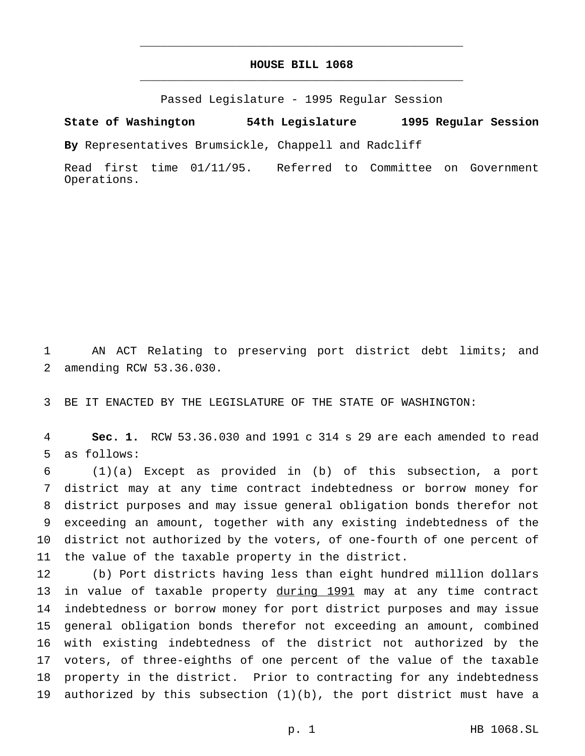# **HOUSE BILL 1068** \_\_\_\_\_\_\_\_\_\_\_\_\_\_\_\_\_\_\_\_\_\_\_\_\_\_\_\_\_\_\_\_\_\_\_\_\_\_\_\_\_\_\_\_\_\_\_

\_\_\_\_\_\_\_\_\_\_\_\_\_\_\_\_\_\_\_\_\_\_\_\_\_\_\_\_\_\_\_\_\_\_\_\_\_\_\_\_\_\_\_\_\_\_\_

Passed Legislature - 1995 Regular Session

**State of Washington 54th Legislature 1995 Regular Session**

**By** Representatives Brumsickle, Chappell and Radcliff

Read first time 01/11/95. Referred to Committee on Government Operations.

 AN ACT Relating to preserving port district debt limits; and amending RCW 53.36.030.

BE IT ENACTED BY THE LEGISLATURE OF THE STATE OF WASHINGTON:

 **Sec. 1.** RCW 53.36.030 and 1991 c 314 s 29 are each amended to read as follows:

 (1)(a) Except as provided in (b) of this subsection, a port district may at any time contract indebtedness or borrow money for district purposes and may issue general obligation bonds therefor not exceeding an amount, together with any existing indebtedness of the district not authorized by the voters, of one-fourth of one percent of the value of the taxable property in the district.

 (b) Port districts having less than eight hundred million dollars 13 in value of taxable property during 1991 may at any time contract indebtedness or borrow money for port district purposes and may issue general obligation bonds therefor not exceeding an amount, combined with existing indebtedness of the district not authorized by the voters, of three-eighths of one percent of the value of the taxable property in the district. Prior to contracting for any indebtedness authorized by this subsection (1)(b), the port district must have a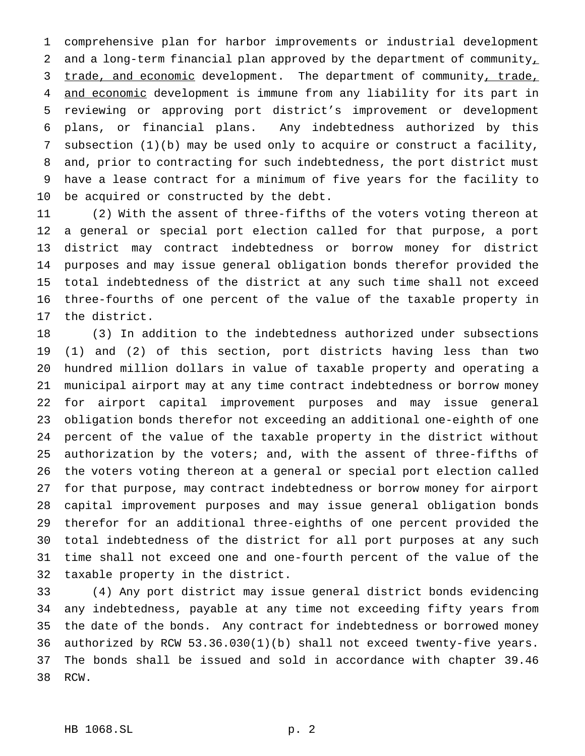comprehensive plan for harbor improvements or industrial development 2 and a long-term financial plan approved by the department of community, 3 trade, and economic development. The department of community, trade, and economic development is immune from any liability for its part in reviewing or approving port district's improvement or development plans, or financial plans. Any indebtedness authorized by this subsection (1)(b) may be used only to acquire or construct a facility, and, prior to contracting for such indebtedness, the port district must have a lease contract for a minimum of five years for the facility to be acquired or constructed by the debt.

 (2) With the assent of three-fifths of the voters voting thereon at a general or special port election called for that purpose, a port district may contract indebtedness or borrow money for district purposes and may issue general obligation bonds therefor provided the total indebtedness of the district at any such time shall not exceed three-fourths of one percent of the value of the taxable property in the district.

 (3) In addition to the indebtedness authorized under subsections (1) and (2) of this section, port districts having less than two hundred million dollars in value of taxable property and operating a municipal airport may at any time contract indebtedness or borrow money for airport capital improvement purposes and may issue general obligation bonds therefor not exceeding an additional one-eighth of one percent of the value of the taxable property in the district without authorization by the voters; and, with the assent of three-fifths of the voters voting thereon at a general or special port election called for that purpose, may contract indebtedness or borrow money for airport capital improvement purposes and may issue general obligation bonds therefor for an additional three-eighths of one percent provided the total indebtedness of the district for all port purposes at any such time shall not exceed one and one-fourth percent of the value of the taxable property in the district.

 (4) Any port district may issue general district bonds evidencing any indebtedness, payable at any time not exceeding fifty years from the date of the bonds. Any contract for indebtedness or borrowed money authorized by RCW 53.36.030(1)(b) shall not exceed twenty-five years. The bonds shall be issued and sold in accordance with chapter 39.46 RCW.